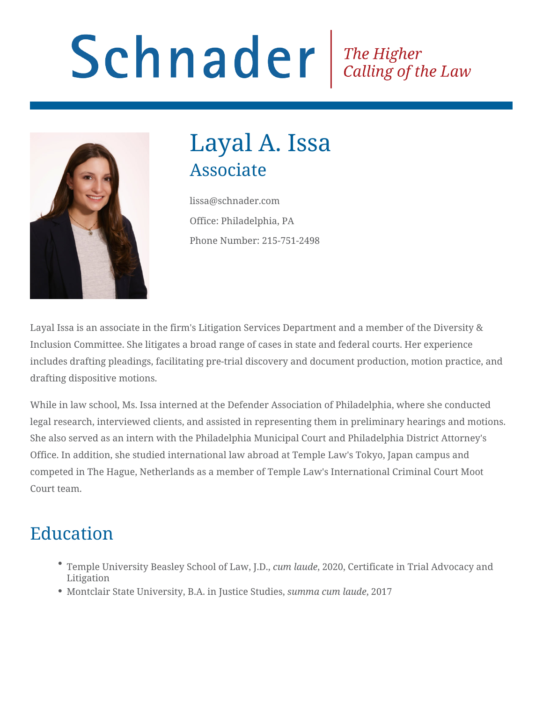# Schnader Fine Higher Calling of the Law



## Layal A. Issa Associate

lissa@schnader.com Office: Philadelphia, PA Phone Number: 215-751-2498

Layal Issa is an associate in the firm's Litigation Services Department and a member of the Diversity & Inclusion Committee. She litigates a broad range of cases in state and federal courts. Her experience includes drafting pleadings, facilitating pre-trial discovery and document production, motion practice, and drafting dispositive motions.

While in law school, Ms. Issa interned at the Defender Association of Philadelphia, where she conducted legal research, interviewed clients, and assisted in representing them in preliminary hearings and motions. She also served as an intern with the Philadelphia Municipal Court and Philadelphia District Attorney's Office. In addition, she studied international law abroad at Temple Law's Tokyo, Japan campus and competed in The Hague, Netherlands as a member of Temple Law's International Criminal Court Moot Court team.

### Education

- Temple University Beasley School of Law, J.D., *cum laude*, 2020, Certificate in Trial Advocacy and Litigation
- Montclair State University, B.A. in Justice Studies, *summa cum laude*, 2017